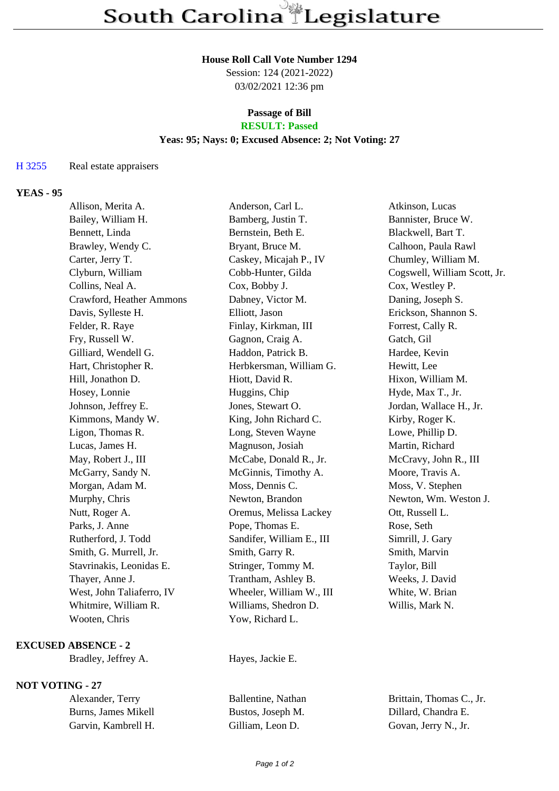#### **House Roll Call Vote Number 1294**

Session: 124 (2021-2022) 03/02/2021 12:36 pm

## **Passage of Bill**

# **RESULT: Passed**

### **Yeas: 95; Nays: 0; Excused Absence: 2; Not Voting: 27**

#### H 3255 Real estate appraisers

### **YEAS - 95**

| Allison, Merita A.        | Anderson, Carl L.         | Atkinson, Lucas              |
|---------------------------|---------------------------|------------------------------|
| Bailey, William H.        | Bamberg, Justin T.        | Bannister, Bruce W.          |
| Bennett, Linda            | Bernstein, Beth E.        | Blackwell, Bart T.           |
| Brawley, Wendy C.         | Bryant, Bruce M.          | Calhoon, Paula Rawl          |
| Carter, Jerry T.          | Caskey, Micajah P., IV    | Chumley, William M.          |
| Clyburn, William          | Cobb-Hunter, Gilda        | Cogswell, William Scott, Jr. |
| Collins, Neal A.          | Cox, Bobby J.             | Cox, Westley P.              |
| Crawford, Heather Ammons  | Dabney, Victor M.         | Daning, Joseph S.            |
| Davis, Sylleste H.        | Elliott, Jason            | Erickson, Shannon S.         |
| Felder, R. Raye           | Finlay, Kirkman, III      | Forrest, Cally R.            |
| Fry, Russell W.           | Gagnon, Craig A.          | Gatch, Gil                   |
| Gilliard, Wendell G.      | Haddon, Patrick B.        | Hardee, Kevin                |
| Hart, Christopher R.      | Herbkersman, William G.   | Hewitt, Lee                  |
| Hill, Jonathon D.         | Hiott, David R.           | Hixon, William M.            |
| Hosey, Lonnie             | Huggins, Chip             | Hyde, Max T., Jr.            |
| Johnson, Jeffrey E.       | Jones, Stewart O.         | Jordan, Wallace H., Jr.      |
| Kimmons, Mandy W.         | King, John Richard C.     | Kirby, Roger K.              |
| Ligon, Thomas R.          | Long, Steven Wayne        | Lowe, Phillip D.             |
| Lucas, James H.           | Magnuson, Josiah          | Martin, Richard              |
| May, Robert J., III       | McCabe, Donald R., Jr.    | McCravy, John R., III        |
| McGarry, Sandy N.         | McGinnis, Timothy A.      | Moore, Travis A.             |
| Morgan, Adam M.           | Moss, Dennis C.           | Moss, V. Stephen             |
| Murphy, Chris             | Newton, Brandon           | Newton, Wm. Weston J.        |
| Nutt, Roger A.            | Oremus, Melissa Lackey    | Ott, Russell L.              |
| Parks, J. Anne            | Pope, Thomas E.           | Rose, Seth                   |
| Rutherford, J. Todd       | Sandifer, William E., III | Simrill, J. Gary             |
| Smith, G. Murrell, Jr.    | Smith, Garry R.           | Smith, Marvin                |
| Stavrinakis, Leonidas E.  | Stringer, Tommy M.        | Taylor, Bill                 |
| Thayer, Anne J.           | Trantham, Ashley B.       | Weeks, J. David              |
| West, John Taliaferro, IV | Wheeler, William W., III  | White, W. Brian              |
| Whitmire, William R.      | Williams, Shedron D.      | Willis, Mark N.              |
| Wooten, Chris             | Yow, Richard L.           |                              |

#### **EXCUSED ABSENCE - 2**

Bradley, Jeffrey A. Hayes, Jackie E.

#### **NOT VOTING - 27**

| Alexander, Terry    | Ballentine, Nathan |
|---------------------|--------------------|
| Burns, James Mikell | Bustos, Joseph M.  |
| Garvin, Kambrell H. | Gilliam, Leon D.   |

Brittain, Thomas C., Jr. Dillard, Chandra E. Govan, Jerry N., Jr.